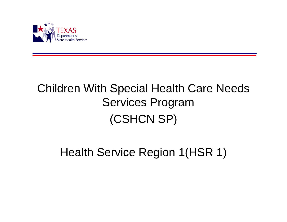

# Children With Special Health Care Needs Services Program (CSHCN SP)

## Health Service Region 1(HSR 1)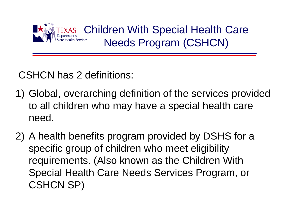

Children With Special Health Care Needs Program (CSHCN)

## CSHCN has 2 definitions:

- 1) Global, overarching definition of the services provided to all children who may have a special health care need.
- 2) A health benefits program provided by DSHS for a specific group of children who meet eligibility requirements. (Also known as the Children With Special Health Care Needs Services Program, or CSHCN SP)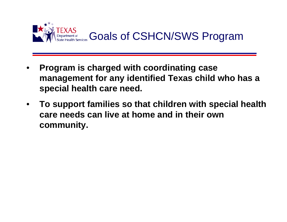

- **Program is charged with coordinating case management for any identified Texas child who has a special health care need.**
- **To support families so that children with special health care needs can live at home and in their own community.**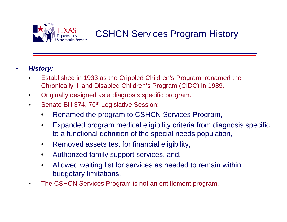

### CSHCN Services Program History

#### • *History:*

- Established in 1933 as the Crippled Children's Program; renamed the Chronically Ill and Disabled Children's Program (CIDC) in 1989.
- Originally designed as a diagnosis specific program.
- Senate Bill 374, 76<sup>th</sup> Legislative Session:
	- Renamed the program to CSHCN Services Program,
	- Expanded program medical eligibility criteria from diagnosis specific to a functional definition of the special needs population,
	- Removed assets test for financial eligibility,
	- Authorized family support services, and,
	- Allowed waiting list for services as needed to remain within budgetary limitations.
- The CSHCN Services Program is not an entitlement program.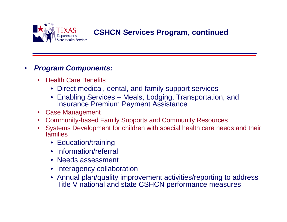

### **CSHCN Services Program, continued**

#### • *Program Components:*

- Health Care Benefits
	- Direct medical, dental, and family support services
	- Enabling Services Meals, Lodging, Transportation, and Insurance Premium Payment Assistance
- Case Management
- Community-based Family Supports and Community Resources
- Systems Development for children with special health care needs and their families
	- Education/training
	- Information/referral
	- Needs assessment
	- Interagency collaboration
	- Annual plan/quality improvement activities/reporting to address Title V national and state CSHCN performance measures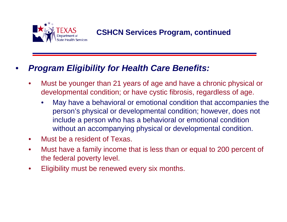

**CSHCN Services Program, continued**

### • *Program Eligibility for Health Care Benefits:*

- Must be younger than 21 years of age and have a chronic physical or developmental condition; or have cystic fibrosis, regardless of age.
	- May have a behavioral or emotional condition that accompanies the person's physical or developmental condition; however, does not include a person who has a behavioral or emotional condition without an accompanying physical or developmental condition.
- Must be a resident of Texas.
- Must have a family income that is less than or equal to 200 percent of the federal poverty level.
- Eligibility must be renewed every six months.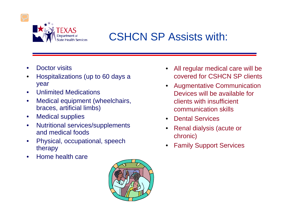

## CSHCN SP Assists with:

- Doctor visits
- Hospitalizations (up to 60 days a year
- Unlimited Medications
- Medical equipment (wheelchairs, braces, artificial limbs)
- Medical supplies
- Nutritional services/supplements and medical foods
- Physical, occupational, speech therapy
- Home health care



- All regular medical care will be covered for CSHCN SP clients
- Augmentative Communication Devices will be available for clients with insufficient communication skills
- Dental Services
- Renal dialysis (acute or chronic)
- **Family Support Services**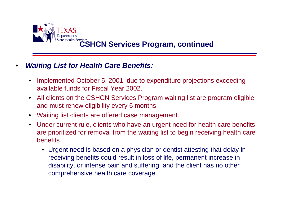

# **CSHCN Services Program, continued**

#### • *Waiting List for Health Care Benefits:*

- Implemented October 5, 2001, due to expenditure projections exceeding available funds for Fiscal Year 2002.
- All clients on the CSHCN Services Program waiting list are program eligible and must renew eligibility every 6 months.
- Waiting list clients are offered case management.
- Under current rule, clients who have an urgent need for health care benefits are prioritized for removal from the waiting list to begin receiving health care benefits.
	- Urgent need is based on a physician or dentist attesting that delay in receiving benefits could result in loss of life, permanent increase in disability, or intense pain and suffering; and the client has no other comprehensive health care coverage.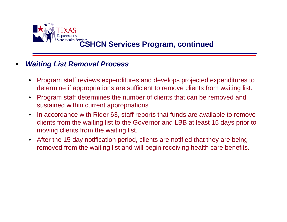

## Health Services **CSHCN Services Program, continued**

#### • *Waiting List Removal Process*

- Program staff reviews expenditures and develops projected expenditures to determine if appropriations are sufficient to remove clients from waiting list.
- Program staff determines the number of clients that can be removed and sustained within current appropriations.
- In accordance with Rider 63, staff reports that funds are available to remove clients from the waiting list to the Governor and LBB at least 15 days prior to moving clients from the waiting list.
- After the 15 day notification period, clients are notified that they are being removed from the waiting list and will begin receiving health care benefits.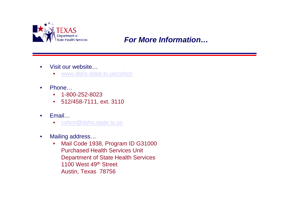

### *For More Information…*

- Visit our website...
	- [www.dshs.state.tx.us/cshcn](http://www.dshs.state.tx.us/cshcn)
- Phone…
	- 1-800-252-8023
	- 512/458-7111, ext. 3110
- Email…
	- [cshcn@dshs.state.tx.us](mailto:cshcn@dshs.state.tx.us)
- Mailing address...
	- Mail Code 1938, Program ID G31000 Purchased Health Services Unit Department of State Health Services 1100 West 49<sup>th</sup> Street Austin, Texas 78756